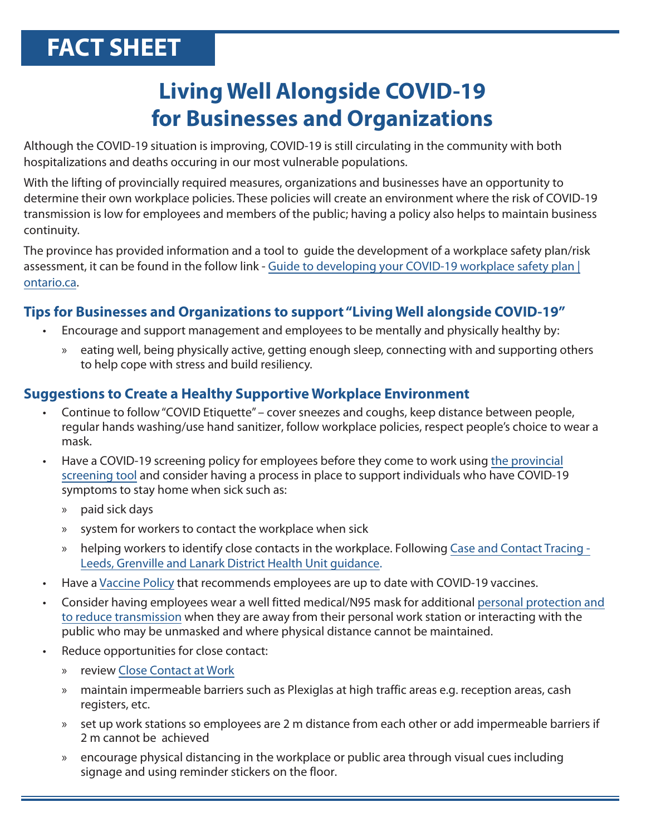# **FACT SHEET**

## **Living Well Alongside COVID-19 for Businesses and Organizations**

Although the COVID-19 situation is improving, COVID-19 is still circulating in the community with both hospitalizations and deaths occuring in our most vulnerable populations.

With the lifting of provincially required measures, organizations and businesses have an opportunity to determine their own workplace policies. These policies will create an environment where the risk of COVID-19 transmission is low for employees and members of the public; having a policy also helps to maintain business continuity.

The province has provided information and a tool to guide the development of a workplace safety plan/risk [assessment, it can be found in the follow link - Guide to developing your COVID-19 workplace safety plan |](https://www.ontario.ca/page/guide-developing-your-covid-19-workplace-safety-plan) ontario.ca.

#### **Tips for Businesses and Organizations to support "Living Well alongside COVID-19"**

- Encourage and support management and employees to be mentally and physically healthy by:
	- » eating well, being physically active, getting enough sleep, connecting with and supporting others to help cope with stress and build resiliency.

### **Suggestions to Create a Healthy Supportive Workplace Environment**

- Continue to follow "COVID Etiquette" cover sneezes and coughs, keep distance between people, regular hands washing/use hand sanitizer, follow workplace policies, respect people's choice to wear a mask.
- • [Have a COVID-19 screening policy for employees before they come to work using the provincial](https://covid-19.ontario.ca/screening/worker/) screening tool and consider having a process in place to support individuals who have COVID-19 symptoms to stay home when sick such as:
	- » paid sick days
	- » system for workers to contact the workplace when sick
	- » [helping workers to identify close contacts in the workplace. Following Case and Contact Tracing -](https://healthunit.org/health-information/covid-19/contact-tracing/) Leeds, Grenville and Lanark District Health Unit guidance.
- Have a Vaccine Policy that recommends employees are up to date with COVID-19 vaccines.
- • [Consider having employees wear a well fitted medical/N95 mask for additional personal protection and](https://www.ontario.ca/page/using-masks-workplace) to reduce transmission when they are away from their personal work station or interacting with the public who may be unmasked and where physical distance cannot be maintained.
- Reduce opportunities for close contact:
	- » review [Close Contact at Work](https://healthunit.org/wp-content/uploads/COVID-19-Who-is-a-Close-Contact-at-Work.pdf)
	- » maintain impermeable barriers such as Plexiglas at high traffic areas e.g. reception areas, cash registers, etc.
	- » set up work stations so employees are 2 m distance from each other or add impermeable barriers if 2 m cannot be achieved
	- » encourage physical distancing in the workplace or public area through visual cues including signage and using reminder stickers on the floor.